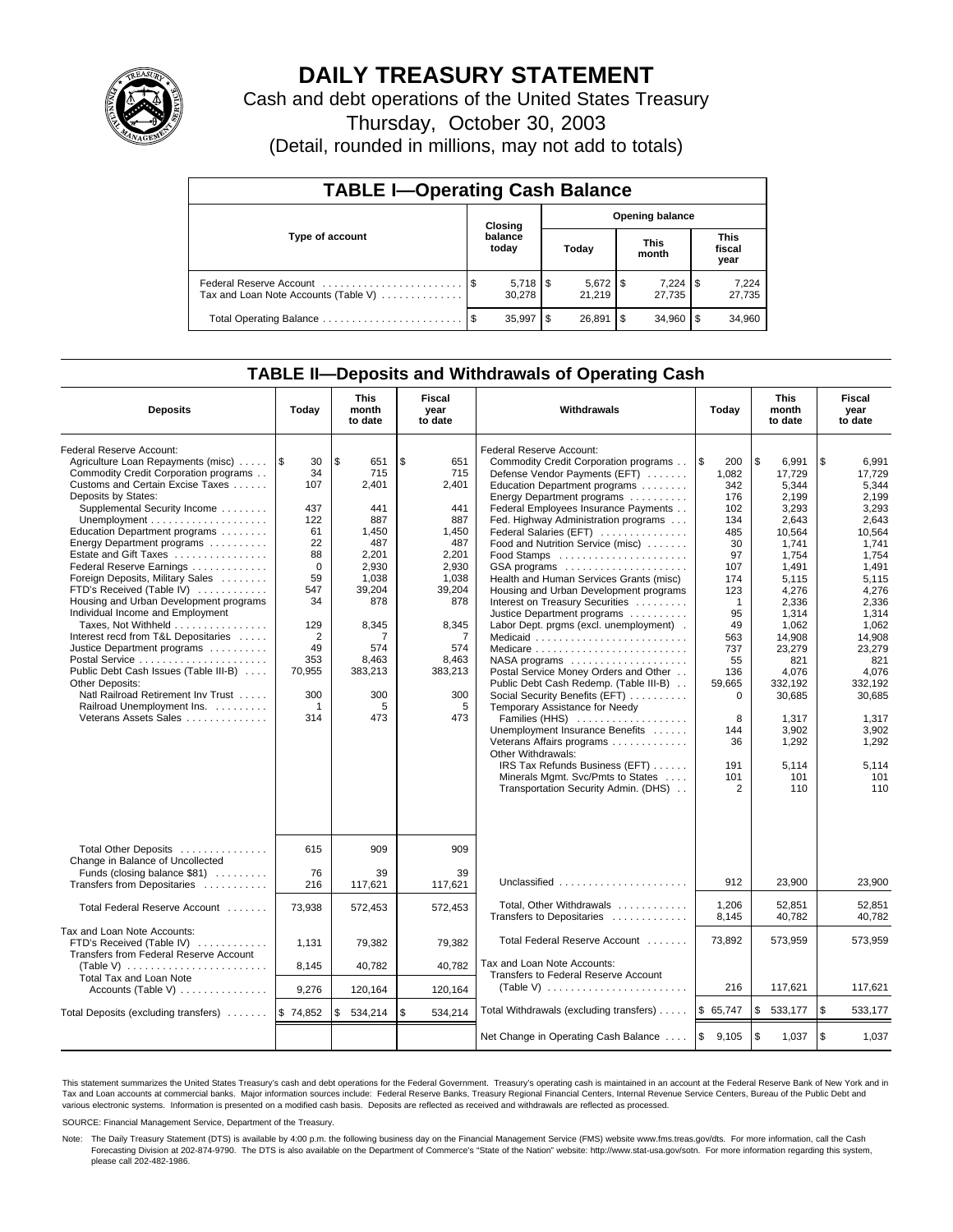

# **DAILY TREASURY STATEMENT**

Cash and debt operations of the United States Treasury

Thursday, October 30, 2003

(Detail, rounded in millions, may not add to totals)

| <b>TABLE I-Operating Cash Balance</b> |         |                  |                        |        |                      |        |                               |                 |  |
|---------------------------------------|---------|------------------|------------------------|--------|----------------------|--------|-------------------------------|-----------------|--|
|                                       | Closing |                  | <b>Opening balance</b> |        |                      |        |                               |                 |  |
| Type of account                       |         | balance<br>today |                        | Today  | <b>This</b><br>month |        | <b>This</b><br>fiscal<br>year |                 |  |
| Tax and Loan Note Accounts (Table V)  |         | 30.278           |                        | 21.219 |                      | 27.735 |                               | 7,224<br>27,735 |  |
|                                       | - \$    | 35,997           | \$.                    | 26.891 | -\$                  | 34,960 |                               | 34,960          |  |

## **TABLE II—Deposits and Withdrawals of Operating Cash**

| <b>Deposits</b>                                                                                                                                                                                                                                                                                                                                                                                                                                                                                                                                                                                                                                                                                                             | Today                                                                                                                                                     | This<br>month<br>to date                                                                                                                                          | Fiscal<br>year<br>to date                                                                                                                                       | Withdrawals                                                                                                                                                                                                                                                                                                                                                                                                                                                                                                                                                                                                                                                                                                                                                                                                                                                                                                                                   | Today                                                                                                                                                                                                          | <b>This</b><br>month<br>to date                                                                                                                                                                                                                        | Fiscal<br>year<br>to date                                                                                                                                                                                                                              |
|-----------------------------------------------------------------------------------------------------------------------------------------------------------------------------------------------------------------------------------------------------------------------------------------------------------------------------------------------------------------------------------------------------------------------------------------------------------------------------------------------------------------------------------------------------------------------------------------------------------------------------------------------------------------------------------------------------------------------------|-----------------------------------------------------------------------------------------------------------------------------------------------------------|-------------------------------------------------------------------------------------------------------------------------------------------------------------------|-----------------------------------------------------------------------------------------------------------------------------------------------------------------|-----------------------------------------------------------------------------------------------------------------------------------------------------------------------------------------------------------------------------------------------------------------------------------------------------------------------------------------------------------------------------------------------------------------------------------------------------------------------------------------------------------------------------------------------------------------------------------------------------------------------------------------------------------------------------------------------------------------------------------------------------------------------------------------------------------------------------------------------------------------------------------------------------------------------------------------------|----------------------------------------------------------------------------------------------------------------------------------------------------------------------------------------------------------------|--------------------------------------------------------------------------------------------------------------------------------------------------------------------------------------------------------------------------------------------------------|--------------------------------------------------------------------------------------------------------------------------------------------------------------------------------------------------------------------------------------------------------|
| Federal Reserve Account:<br>Agriculture Loan Repayments (misc)<br>Commodity Credit Corporation programs<br>Customs and Certain Excise Taxes<br>Deposits by States:<br>Supplemental Security Income<br>Education Department programs<br>Energy Department programs<br>Estate and Gift Taxes<br>Federal Reserve Earnings<br>Foreign Deposits, Military Sales<br>FTD's Received (Table IV)<br>Housing and Urban Development programs<br>Individual Income and Employment<br>Taxes, Not Withheld<br>Interest recd from T&L Depositaries<br>Justice Department programs<br>Public Debt Cash Issues (Table III-B)<br>Other Deposits:<br>Natl Railroad Retirement Inv Trust<br>Railroad Unemployment Ins.<br>Veterans Assets Sales | 1\$<br>30<br>34<br>107<br>437<br>122<br>61<br>22<br>88<br>$\mathbf 0$<br>59<br>547<br>34<br>129<br>2<br>49<br>353<br>70,955<br>300<br>$\mathbf{1}$<br>314 | l \$<br>651<br>715<br>2.401<br>441<br>887<br>1,450<br>487<br>2,201<br>2,930<br>1,038<br>39,204<br>878<br>8,345<br>7<br>574<br>8,463<br>383,213<br>300<br>5<br>473 | \$<br>651<br>715<br>2.401<br>441<br>887<br>1,450<br>487<br>2,201<br>2,930<br>1,038<br>39.204<br>878<br>8,345<br>7<br>574<br>8,463<br>383,213<br>300<br>5<br>473 | Federal Reserve Account:<br>Commodity Credit Corporation programs<br>Defense Vendor Payments (EFT)<br>Education Department programs<br>Energy Department programs<br>Federal Employees Insurance Payments<br>Fed. Highway Administration programs<br>Federal Salaries (EFT)<br>Food and Nutrition Service (misc)<br>GSA programs<br>Health and Human Services Grants (misc)<br>Housing and Urban Development programs<br>Interest on Treasury Securities<br>Justice Department programs<br>Labor Dept. prgms (excl. unemployment).<br>Medicaid<br>NASA programs<br>Postal Service Money Orders and Other<br>Public Debt Cash Redemp. (Table III-B)<br>Social Security Benefits (EFT)<br>Temporary Assistance for Needy<br>Families (HHS)<br>Unemployment Insurance Benefits<br>Veterans Affairs programs<br>Other Withdrawals:<br>IRS Tax Refunds Business (EFT)<br>Minerals Mgmt. Svc/Pmts to States<br>Transportation Security Admin. (DHS) | l\$<br>200<br>1,082<br>342<br>176<br>102<br>134<br>485<br>30<br>97<br>107<br>174<br>123<br>$\overline{1}$<br>95<br>49<br>563<br>737<br>55<br>136<br>59,665<br>$\mathbf 0$<br>8<br>144<br>36<br>191<br>101<br>2 | \$<br>6,991<br>17,729<br>5.344<br>2.199<br>3,293<br>2,643<br>10,564<br>1.741<br>1,754<br>1,491<br>5.115<br>4.276<br>2,336<br>1,314<br>1.062<br>14,908<br>23,279<br>821<br>4.076<br>332,192<br>30,685<br>1,317<br>3,902<br>1,292<br>5.114<br>101<br>110 | \$<br>6,991<br>17,729<br>5.344<br>2.199<br>3,293<br>2.643<br>10,564<br>1.741<br>1,754<br>1,491<br>5.115<br>4.276<br>2,336<br>1,314<br>1.062<br>14,908<br>23,279<br>821<br>4.076<br>332.192<br>30,685<br>1,317<br>3,902<br>1,292<br>5.114<br>101<br>110 |
| Total Other Deposits<br>Change in Balance of Uncollected<br>Funds (closing balance \$81)<br>Transfers from Depositaries                                                                                                                                                                                                                                                                                                                                                                                                                                                                                                                                                                                                     | 615<br>76<br>216                                                                                                                                          | 909<br>39<br>117,621                                                                                                                                              | 909<br>39<br>117,621                                                                                                                                            | Unclassified                                                                                                                                                                                                                                                                                                                                                                                                                                                                                                                                                                                                                                                                                                                                                                                                                                                                                                                                  | 912                                                                                                                                                                                                            | 23,900                                                                                                                                                                                                                                                 | 23.900                                                                                                                                                                                                                                                 |
| Total Federal Reserve Account                                                                                                                                                                                                                                                                                                                                                                                                                                                                                                                                                                                                                                                                                               | 73,938                                                                                                                                                    | 572,453                                                                                                                                                           | 572,453                                                                                                                                                         | Total, Other Withdrawals<br>Transfers to Depositaries                                                                                                                                                                                                                                                                                                                                                                                                                                                                                                                                                                                                                                                                                                                                                                                                                                                                                         | 1,206<br>8,145                                                                                                                                                                                                 | 52,851<br>40,782                                                                                                                                                                                                                                       | 52,851<br>40.782                                                                                                                                                                                                                                       |
| Tax and Loan Note Accounts:<br>FTD's Received (Table IV)<br>Transfers from Federal Reserve Account                                                                                                                                                                                                                                                                                                                                                                                                                                                                                                                                                                                                                          | 1,131<br>8,145                                                                                                                                            | 79,382<br>40,782                                                                                                                                                  | 79.382<br>40,782                                                                                                                                                | Total Federal Reserve Account<br>Tax and Loan Note Accounts:                                                                                                                                                                                                                                                                                                                                                                                                                                                                                                                                                                                                                                                                                                                                                                                                                                                                                  | 73.892                                                                                                                                                                                                         | 573.959                                                                                                                                                                                                                                                | 573,959                                                                                                                                                                                                                                                |
| Total Tax and Loan Note<br>Accounts (Table V) $\dots \dots \dots \dots$                                                                                                                                                                                                                                                                                                                                                                                                                                                                                                                                                                                                                                                     | 9,276                                                                                                                                                     | 120,164                                                                                                                                                           | 120,164                                                                                                                                                         | Transfers to Federal Reserve Account<br>(Table V) $\ldots \ldots \ldots \ldots \ldots \ldots \ldots$                                                                                                                                                                                                                                                                                                                                                                                                                                                                                                                                                                                                                                                                                                                                                                                                                                          | 216                                                                                                                                                                                                            | 117,621                                                                                                                                                                                                                                                | 117,621                                                                                                                                                                                                                                                |
| Total Deposits (excluding transfers)                                                                                                                                                                                                                                                                                                                                                                                                                                                                                                                                                                                                                                                                                        | \$74.852                                                                                                                                                  | 534,214<br>\$.                                                                                                                                                    | \$<br>534,214                                                                                                                                                   | Total Withdrawals (excluding transfers)                                                                                                                                                                                                                                                                                                                                                                                                                                                                                                                                                                                                                                                                                                                                                                                                                                                                                                       | \$65,747                                                                                                                                                                                                       | \$<br>533,177                                                                                                                                                                                                                                          | \$<br>533,177                                                                                                                                                                                                                                          |
|                                                                                                                                                                                                                                                                                                                                                                                                                                                                                                                                                                                                                                                                                                                             |                                                                                                                                                           |                                                                                                                                                                   |                                                                                                                                                                 | Net Change in Operating Cash Balance                                                                                                                                                                                                                                                                                                                                                                                                                                                                                                                                                                                                                                                                                                                                                                                                                                                                                                          | \$<br>9,105                                                                                                                                                                                                    | \$<br>1,037                                                                                                                                                                                                                                            | $\sqrt{3}$<br>1,037                                                                                                                                                                                                                                    |

This statement summarizes the United States Treasury's cash and debt operations for the Federal Government. Treasury's operating cash is maintained in an account at the Federal Reserve Bank of New York and in Tax and Loan accounts at commercial banks. Major information sources include: Federal Reserve Banks, Treasury Regional Financial Centers, Internal Revenue Service Centers, Bureau of the Public Debt and<br>various electronic s

SOURCE: Financial Management Service, Department of the Treasury.

Note: The Daily Treasury Statement (DTS) is available by 4:00 p.m. the following business day on the Financial Management Service (FMS) website www.fms.treas.gov/dts. For more information, call the Cash Forecasting Division at 202-874-9790. The DTS is also available on the Department of Commerce's "State of the Nation" website: http://www.stat-usa.gov/sotn. For more information regarding this system, please call 202-482-1986.